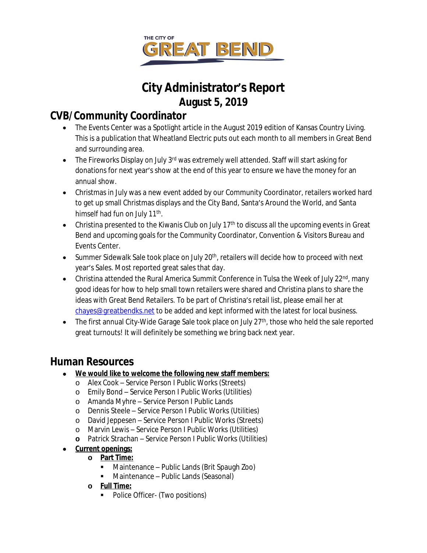

# **City Administrator's Report August 5, 2019**

# **CVB/Community Coordinator**

- The Events Center was a Spotlight article in the August 2019 edition of Kansas Country Living. This is a publication that Wheatland Electric puts out each month to all members in Great Bend and surrounding area.
- The Fireworks Display on July 3<sup>rd</sup> was extremely well attended. Staff will start asking for donations for next year's show at the end of this year to ensure we have the money for an annual show.
- Christmas in July was a new event added by our Community Coordinator, retailers worked hard to get up small Christmas displays and the City Band, Santa's Around the World, and Santa himself had fun on July 11<sup>th</sup>.
- Christina presented to the Kiwanis Club on July 17<sup>th</sup> to discuss all the upcoming events in Great Bend and upcoming goals for the Community Coordinator, Convention & Visitors Bureau and Events Center.
- Summer Sidewalk Sale took place on July  $20<sup>th</sup>$ , retailers will decide how to proceed with next year's Sales. Most reported great sales that day.
- Christina attended the Rural America Summit Conference in Tulsa the Week of July 22<sup>nd</sup>, many good ideas for how to help small town retailers were shared and Christina plans to share the ideas with Great Bend Retailers. To be part of Christina's retail list, please email her at [chayes@greatbendks.net](mailto:chayes@greatbendks.net) to be added and kept informed with the latest for local business.
- $\bullet$  The first annual City-Wide Garage Sale took place on July 27<sup>th</sup>, those who held the sale reported great turnouts! It will definitely be something we bring back next year.

# **Human Resources**

- **We would like to welcome the following new staff members:**
	- o Alex Cook Service Person I Public Works (Streets)
	- o Emily Bond Service Person I Public Works (Utilities)
	- o Amanda Myhre Service Person I Public Lands
	- o Dennis Steele Service Person I Public Works (Utilities)
	- o David Jeppesen Service Person I Public Works (Streets)
	- o Marvin Lewis Service Person I Public Works (Utilities)
	- **o** Patrick Strachan Service Person I Public Works (Utilities)
- **Current openings:**
	- **o Part Time:**
		- Maintenance Public Lands (Brit Spaugh Zoo)
		- Maintenance Public Lands (Seasonal)
	- **o Full Time:**
		- Police Officer- (Two positions)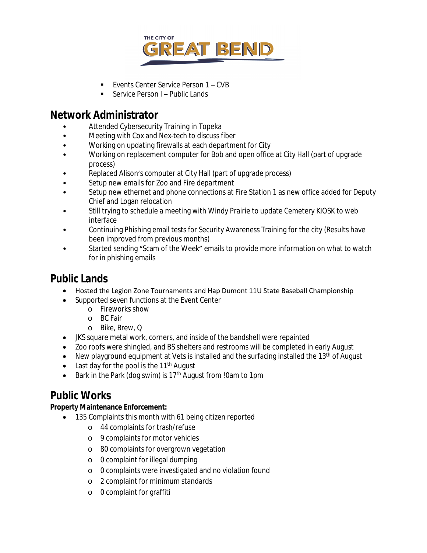

- Events Center Service Person 1 CVB
- Service Person I Public Lands

## **Network Administrator**

- Attended Cybersecurity Training in Topeka
- Meeting with Cox and Nex-tech to discuss fiber
- Working on updating firewalls at each department for City
- Working on replacement computer for Bob and open office at City Hall (part of upgrade process)
- Replaced Alison's computer at City Hall (part of upgrade process)
- Setup new emails for Zoo and Fire department
- Setup new ethernet and phone connections at Fire Station 1 as new office added for Deputy Chief and Logan relocation
- Still trying to schedule a meeting with Windy Prairie to update Cemetery KIOSK to web interface
- Continuing Phishing email tests for Security Awareness Training for the city (Results have been improved from previous months)
- Started sending "Scam of the Week" emails to provide more information on what to watch for in phishing emails

# **Public Lands**

- Hosted the Legion Zone Tournaments and Hap Dumont 11U State Baseball Championship
- Supported seven functions at the Event Center
	- o Fireworks show
	- o BC Fair
	- o Bike, Brew, Q
- JKS square metal work, corners, and inside of the bandshell were repainted
- Zoo roofs were shingled, and BS shelters and restrooms will be completed in early August
- New playground equipment at Vets is installed and the surfacing installed the 13<sup>th</sup> of August
- Last day for the pool is the  $11<sup>th</sup>$  August
- **Bark in the Park (dog swim) is 17<sup>th</sup> August from !0am to 1pm**

# **Public Works**

## **Property Maintenance Enforcement:**

- 135 Complaints this month with 61 being citizen reported
	- o 44 complaints for trash/refuse
	- o 9 complaints for motor vehicles
	- o 80 complaints for overgrown vegetation
	- o 0 complaint for illegal dumping
	- o 0 complaints were investigated and no violation found
	- o 2 complaint for minimum standards
	- o 0 complaint for graffiti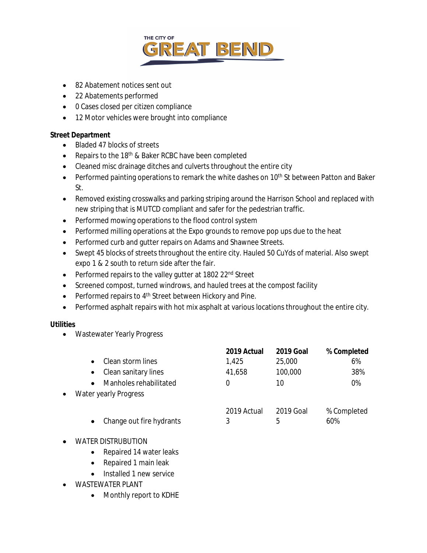

- 82 Abatement notices sent out
- 22 Abatements performed
- 0 Cases closed per citizen compliance
- 12 Motor vehicles were brought into compliance

#### **Street Department**

- Bladed 47 blocks of streets
- **•** Repairs to the 18<sup>th</sup> & Baker RCBC have been completed
- Cleaned misc drainage ditches and culverts throughout the entire city
- Performed painting operations to remark the white dashes on 10<sup>th</sup> St between Patton and Baker St.
- Removed existing crosswalks and parking striping around the Harrison School and replaced with new striping that is MUTCD compliant and safer for the pedestrian traffic.
- Performed mowing operations to the flood control system
- Performed milling operations at the Expo grounds to remove pop ups due to the heat
- Performed curb and gutter repairs on Adams and Shawnee Streets.
- Swept 45 blocks of streets throughout the entire city. Hauled 50 CuYds of material. Also swept expo 1 & 2 south to return side after the fair.
- Performed repairs to the valley gutter at 1802 22<sup>nd</sup> Street
- Screened compost, turned windrows, and hauled trees at the compost facility
- Performed repairs to 4<sup>th</sup> Street between Hickory and Pine.
- Performed asphalt repairs with hot mix asphalt at various locations throughout the entire city.

#### **Utilities**

Wastewater Yearly Progress

|           |                          | 2019 Actual      | <b>2019 Goal</b> | % Completed        |
|-----------|--------------------------|------------------|------------------|--------------------|
|           | Clean storm lines        | 1,425            | 25,000           | 6%                 |
|           | Clean sanitary lines     | 41,658           | 100,000          | 38%                |
|           | Manholes rehabilitated   |                  | 10               | 0%                 |
| $\bullet$ | Water yearly Progress    |                  |                  |                    |
|           | Change out fire hydrants | 2019 Actual<br>3 | 2019 Goal<br>5   | % Completed<br>60% |
|           |                          |                  |                  |                    |

- WATER DISTRUBUTION
	- Repaired 14 water leaks
	- Repaired 1 main leak
	- Installed 1 new service
- WASTEWATER PLANT
	- Monthly report to KDHE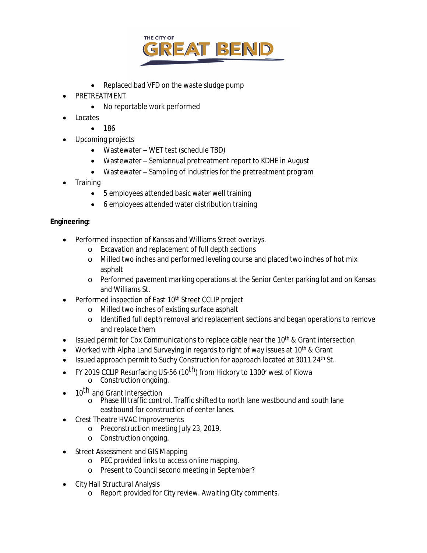

- Replaced bad VFD on the waste sludge pump
- PRETREATMENT
	- No reportable work performed
- Locates
	- $186$
- Upcoming projects
	- Wastewater WET test (schedule TBD)
	- Wastewater Semiannual pretreatment report to KDHE in August
	- Wastewater Sampling of industries for the pretreatment program
- **Training** 
	- 5 employees attended basic water well training
	- 6 employees attended water distribution training

### **Engineering:**

- Performed inspection of Kansas and Williams Street overlays.
	- o Excavation and replacement of full depth sections
	- o Milled two inches and performed leveling course and placed two inches of hot mix asphalt
	- o Performed pavement marking operations at the Senior Center parking lot and on Kansas and Williams St.
- Performed inspection of East 10<sup>th</sup> Street CCLIP project
	- o Milled two inches of existing surface asphalt
	- o Identified full depth removal and replacement sections and began operations to remove and replace them
- **Issued permit for Cox Communications to replace cable near the 10th & Grant intersection**
- Worked with Alpha Land Surveying in regards to right of way issues at 10<sup>th</sup> & Grant
- Issued approach permit to Suchy Construction for approach located at 3011 24<sup>th</sup> St.
- FY 2019 CCLIP Resurfacing US-56 (10<sup>th</sup>) from Hickory to 1300' west of Kiowa o Construction ongoing.
- 10<sup>th</sup> and Grant Intersection
	- o Phase III traffic control. Traffic shifted to north lane westbound and south lane eastbound for construction of center lanes.
- Crest Theatre HVAC Improvements
	- o Preconstruction meeting July 23, 2019.
	- o Construction ongoing.
- Street Assessment and GIS Mapping
	- o PEC provided links to access online mapping.
	- o Present to Council second meeting in September?
- City Hall Structural Analysis
	- o Report provided for City review. Awaiting City comments.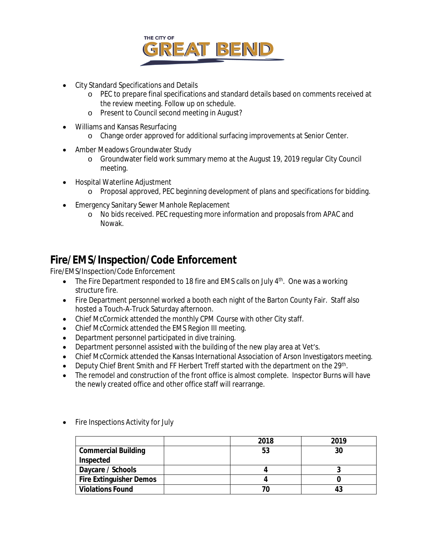

- City Standard Specifications and Details
	- o PEC to prepare final specifications and standard details based on comments received at the review meeting. Follow up on schedule.
	- o Present to Council second meeting in August?
- Williams and Kansas Resurfacing
	- o Change order approved for additional surfacing improvements at Senior Center.
- Amber Meadows Groundwater Study
	- o Groundwater field work summary memo at the August 19, 2019 regular City Council meeting.
- Hospital Waterline Adjustment
	- o Proposal approved, PEC beginning development of plans and specifications for bidding.
- **Emergency Sanitary Sewer Manhole Replacement** 
	- o No bids received. PEC requesting more information and proposals from APAC and Nowak.

# **Fire/EMS/Inspection/Code Enforcement**

Fire/EMS/Inspection/Code Enforcement

- $\bullet$  The Fire Department responded to 18 fire and EMS calls on July  $4^{\text{th}}$ . One was a working structure fire.
- Fire Department personnel worked a booth each night of the Barton County Fair. Staff also hosted a Touch-A-Truck Saturday afternoon.
- Chief McCormick attended the monthly CPM Course with other City staff.
- Chief McCormick attended the EMS Region III meeting.
- Department personnel participated in dive training.
- Department personnel assisted with the building of the new play area at Vet's.
- Chief McCormick attended the Kansas International Association of Arson Investigators meeting.
- Deputy Chief Brent Smith and FF Herbert Treff started with the department on the 29<sup>th</sup>.
- The remodel and construction of the front office is almost complete. Inspector Burns will have the newly created office and other office staff will rearrange.

|                                | 2018 | 2019 |  |
|--------------------------------|------|------|--|
| <b>Commercial Building</b>     | 53   | 30   |  |
| Inspected                      |      |      |  |
| Daycare / Schools              |      |      |  |
| <b>Fire Extinguisher Demos</b> |      |      |  |
| <b>Violations Found</b>        |      | 43   |  |

Fire Inspections Activity for July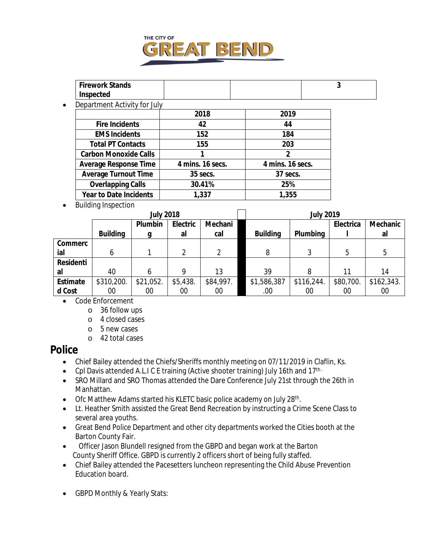

| <b>Firework Stands</b><br>Inspected |  |  |
|-------------------------------------|--|--|
| Department Activity for July        |  |  |

| 2018             | 2019             |  |  |
|------------------|------------------|--|--|
| 42               | 44               |  |  |
| 152              | 184              |  |  |
| 155              | 203              |  |  |
|                  | 2                |  |  |
| 4 mins. 16 secs. | 4 mins. 16 secs. |  |  |
| 35 secs.         | 37 secs.         |  |  |
| 30.41%           | 25%              |  |  |
| 1,337            | 1,355            |  |  |
|                  |                  |  |  |

• Building Inspection

|                 | <b>July 2018</b> |           |          | <b>July 2019</b> |                 |            |           |            |
|-----------------|------------------|-----------|----------|------------------|-----------------|------------|-----------|------------|
|                 |                  | Plumbin   | Electric | Mechani          |                 |            | Electrica | Mechanic   |
|                 | <b>Building</b>  |           | al       | cal              | <b>Building</b> | Plumbing   |           | al         |
| Commerc         |                  |           |          |                  |                 |            |           |            |
| ial             | 6                |           | າ        |                  | 8               | 3          | 5         | 5          |
| Residenti       |                  |           |          |                  |                 |            |           |            |
| al              | 40               | 6         | 9        | 13               | 39              | 8          | 11        | 14         |
| <b>Estimate</b> | \$310,200.       | \$21,052. | \$5,438. | \$84,997.        | \$1,586,387     | \$116,244. | \$80,700. | \$162,343. |
| d Cost          | 00               | 00        | $00\,$   | 00               | .00.            | 00         | 00        | $00\,$     |

- Code Enforcement
	- o 36 follow ups
	- o 4 closed cases
	- o 5 new cases
	- o 42 total cases

## **Police**

- Chief Bailey attended the Chiefs/Sheriffs monthly meeting on 07/11/2019 in Claflin, Ks.
- Cpl Davis attended A.L.I C E training (Active shooter training) July 16th and  $17^{\text{th}}$ .
- SRO Millard and SRO Thomas attended the Dare Conference July 21st through the 26th in Manhattan.
- Ofc Matthew Adams started his KLETC basic police academy on July 28<sup>th</sup>.
- Lt. Heather Smith assisted the Great Bend Recreation by instructing a Crime Scene Class to several area youths.
- Great Bend Police Department and other city departments worked the Cities booth at the Barton County Fair.
- Officer Jason Blundell resigned from the GBPD and began work at the Barton County Sheriff Office. GBPD is currently 2 officers short of being fully staffed.
- Chief Bailey attended the Pacesetters luncheon representing the Child Abuse Prevention Education board.
- GBPD Monthly & Yearly Stats: